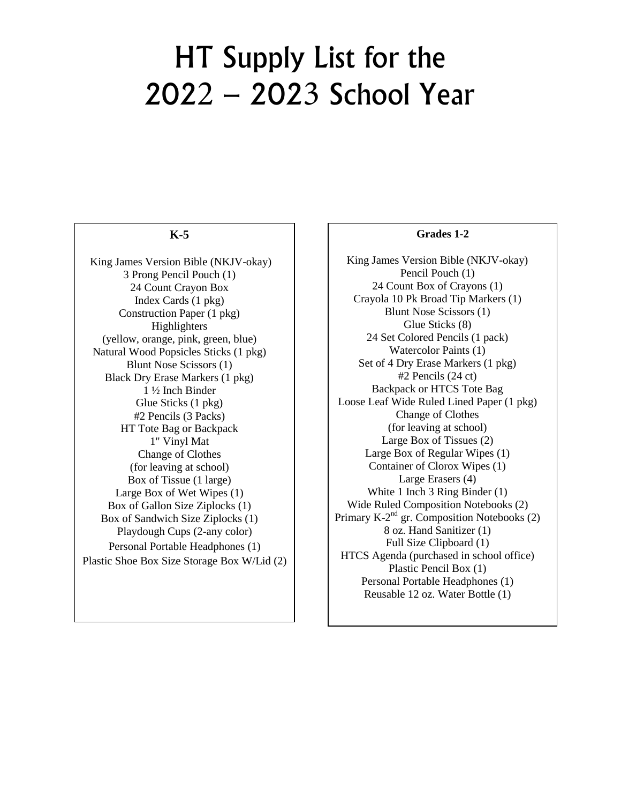# HT Supply List for the 2022 – 2023 School Year

### **K-5**

King James Version Bible (NKJV-okay) 3 Prong Pencil Pouch (1) 24 Count Crayon Box Index Cards (1 pkg) Construction Paper (1 pkg) Highlighters (yellow, orange, pink, green, blue) Natural Wood Popsicles Sticks (1 pkg) Blunt Nose Scissors (1) Black Dry Erase Markers (1 pkg) 1 ½ Inch Binder Glue Sticks (1 pkg) #2 Pencils (3 Packs) HT Tote Bag or Backpack 1" Vinyl Mat Change of Clothes (for leaving at school) Box of Tissue (1 large) Large Box of Wet Wipes (1) Box of Gallon Size Ziplocks (1) Box of Sandwich Size Ziplocks (1) Playdough Cups (2-any color) Personal Portable Headphones (1) Plastic Shoe Box Size Storage Box W/Lid (2)

### **Grades 1-2**

King James Version Bible (NKJV-okay) Pencil Pouch (1) 24 Count Box of Crayons (1) Crayola 10 Pk Broad Tip Markers (1) Blunt Nose Scissors (1) Glue Sticks (8) 24 Set Colored Pencils (1 pack) Watercolor Paints (1) Set of 4 Dry Erase Markers (1 pkg) #2 Pencils (24 ct) Backpack or HTCS Tote Bag Loose Leaf Wide Ruled Lined Paper (1 pkg) Change of Clothes (for leaving at school) Large Box of Tissues (2) Large Box of Regular Wipes (1) Container of Clorox Wipes (1) Large Erasers (4) White 1 Inch 3 Ring Binder (1) Wide Ruled Composition Notebooks (2) Primary K-2<sup>nd</sup> gr. Composition Notebooks  $(2)$ 8 oz. Hand Sanitizer (1) Full Size Clipboard (1) HTCS Agenda (purchased in school office) Plastic Pencil Box (1) Personal Portable Headphones (1) Reusable 12 oz. Water Bottle (1)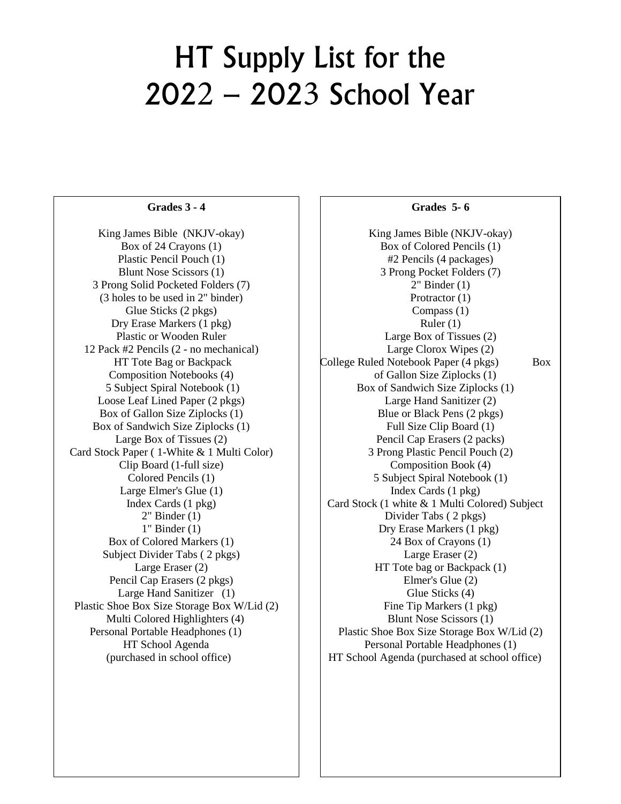## HT Supply List for the 2022 – 2023 School Year

### **Grades 3 - 4**

King James Bible (NKJV-okay) Box of 24 Crayons (1) Plastic Pencil Pouch (1) Blunt Nose Scissors (1) 3 Prong Solid Pocketed Folders (7) (3 holes to be used in 2" binder) Glue Sticks (2 pkgs) Dry Erase Markers (1 pkg) Plastic or Wooden Ruler 12 Pack #2 Pencils (2 - no mechanical) HT Tote Bag or Backpack Composition Notebooks (4) 5 Subject Spiral Notebook (1) Loose Leaf Lined Paper (2 pkgs) Box of Gallon Size Ziplocks (1) Box of Sandwich Size Ziplocks (1) Large Box of Tissues (2) Card Stock Paper ( 1-White & 1 Multi Color) Clip Board (1-full size) Colored Pencils (1) Large Elmer's Glue (1) Index Cards (1 pkg) 2" Binder (1) 1" Binder (1) Box of Colored Markers (1) Subject Divider Tabs ( 2 pkgs) Large Eraser (2) Pencil Cap Erasers (2 pkgs) Large Hand Sanitizer (1) Plastic Shoe Box Size Storage Box W/Lid (2) Multi Colored Highlighters (4) Personal Portable Headphones (1) HT School Agenda (purchased in school office)

### **Grades 5- 6** King James Bible (NKJV-okay) Box of Colored Pencils (1) #2 Pencils (4 packages) 3 Prong Pocket Folders (7) 2" Binder (1) Protractor  $(1)$ Compass (1) Ruler (1) Large Box of Tissues (2) Large Clorox Wipes (2) College Ruled Notebook Paper (4 pkgs) Box of Gallon Size Ziplocks (1) Box of Sandwich Size Ziplocks (1) Large Hand Sanitizer (2) Blue or Black Pens (2 pkgs) Full Size Clip Board (1) Pencil Cap Erasers (2 packs) 3 Prong Plastic Pencil Pouch (2) Composition Book (4) 5 Subject Spiral Notebook (1) Index Cards (1 pkg) Card Stock (1 white & 1 Multi Colored) Subject Divider Tabs ( 2 pkgs) Dry Erase Markers (1 pkg) 24 Box of Crayons (1) Large Eraser (2) HT Tote bag or Backpack (1) Elmer's Glue (2) Glue Sticks (4) Fine Tip Markers (1 pkg) Blunt Nose Scissors (1) Plastic Shoe Box Size Storage Box W/Lid (2) Personal Portable Headphones (1) HT School Agenda (purchased at school office)